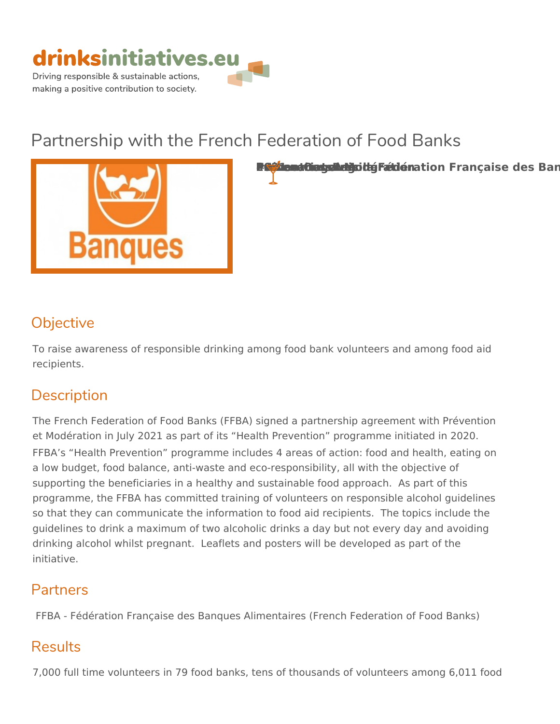

# Partnership with the French Federation of



Partemariat avec la Fedération Banques Alimentaires Prévention and Australia et Modération Françai

## Objective

To raise awareness of responsible drinking among food bank volunteers an recipients.

## Description

The French Federation of Food Banks (FFBA) signed a partnership agreement et Modération in July 2021 as part of its Health Prevention programme in FFBA s Health Prevention programme includes 4 areas of action: food an a low budget, food balance, anti-waste and eco-responsibility, all with the supporting the beneficiaries in a healthy and sustainable food approach. programme, the FFBA has committed training of volunteers on responsible so that they can communicate the information to food aid recipients. The guidelines to drink a maximum of two alcoholic drinks a day but not every drinking alcohol whilst pregnant. Leaflets and posters will be developed a initiative.

#### Partners

FFBA - Fédération Française des Banques Alimentaires (French Federatio

## Results

7,000 full time volunteers in 79 food banks, tens of thousands of volunteer